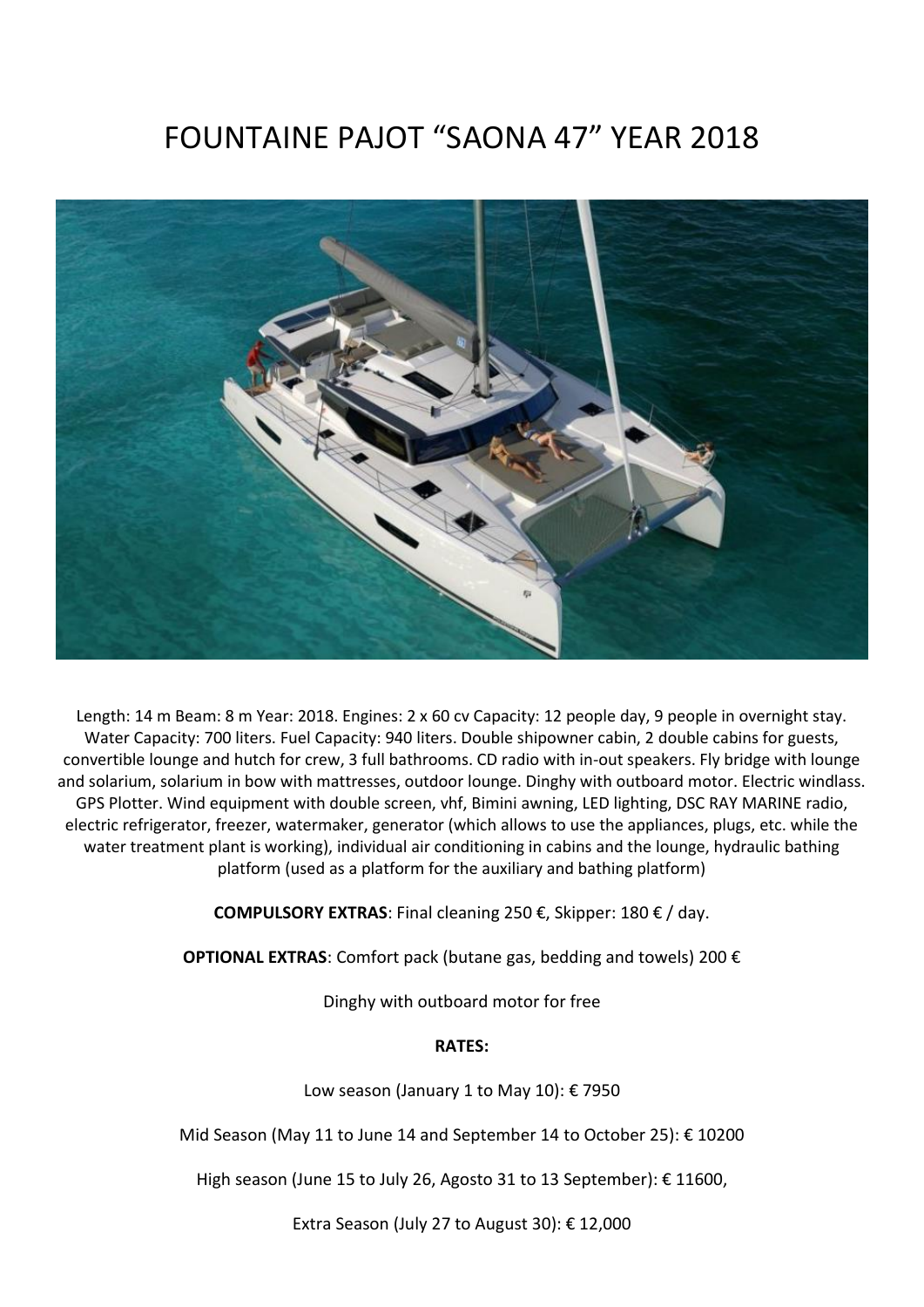## FOUNTAINE PAJOT "SAONA 47" YEAR 2018



Length: 14 m Beam: 8 m Year: 2018. Engines: 2 x 60 cv Capacity: 12 people day, 9 people in overnight stay. Water Capacity: 700 liters. Fuel Capacity: 940 liters. Double shipowner cabin, 2 double cabins for guests, convertible lounge and hutch for crew, 3 full bathrooms. CD radio with in-out speakers. Fly bridge with lounge and solarium, solarium in bow with mattresses, outdoor lounge. Dinghy with outboard motor. Electric windlass. GPS Plotter. Wind equipment with double screen, vhf, Bimini awning, LED lighting, DSC RAY MARINE radio, electric refrigerator, freezer, watermaker, generator (which allows to use the appliances, plugs, etc. while the water treatment plant is working), individual air conditioning in cabins and the lounge, hydraulic bathing platform (used as a platform for the auxiliary and bathing platform)

**COMPULSORY EXTRAS**: Final cleaning 250 €, Skipper: 180 € / day.

**OPTIONAL EXTRAS**: Comfort pack (butane gas, bedding and towels) 200 €

Dinghy with outboard motor for free

## **RATES:**

Low season (January 1 to May 10): € 7950

Mid Season (May 11 to June 14 and September 14 to October 25): € 10200

High season (June 15 to July 26, Agosto 31 to 13 September): € 11600,

Extra Season (July 27 to August 30): € 12,000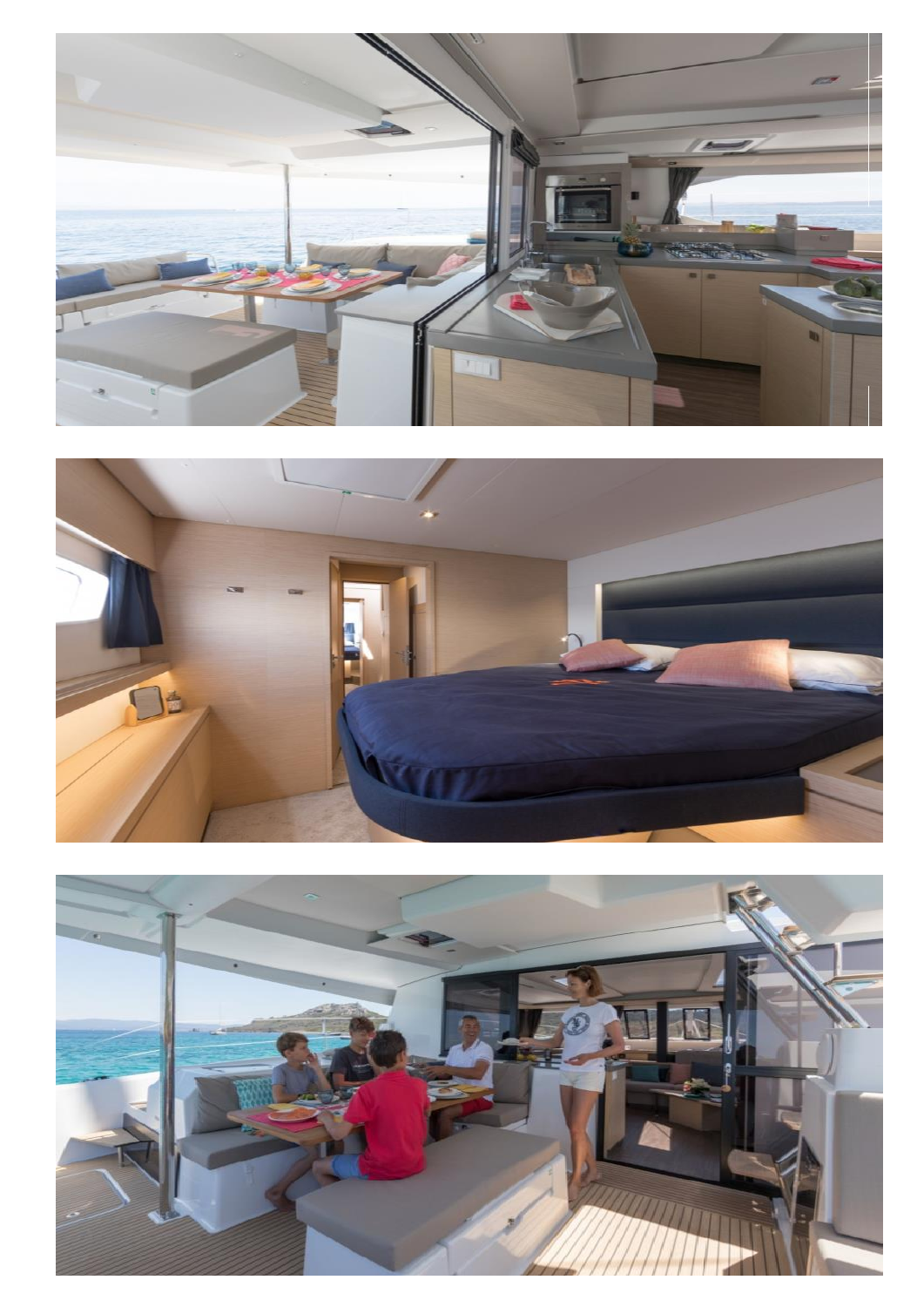



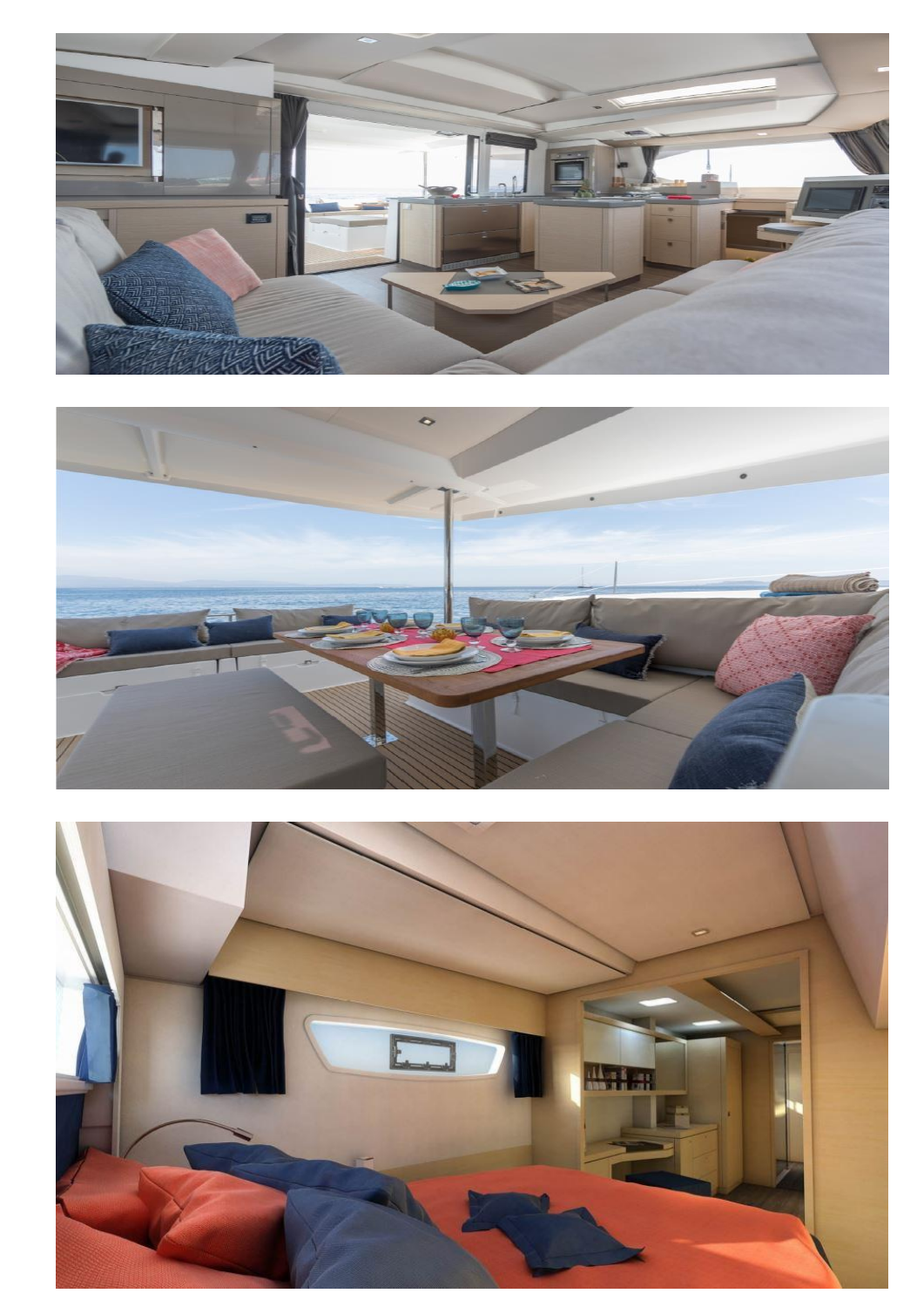